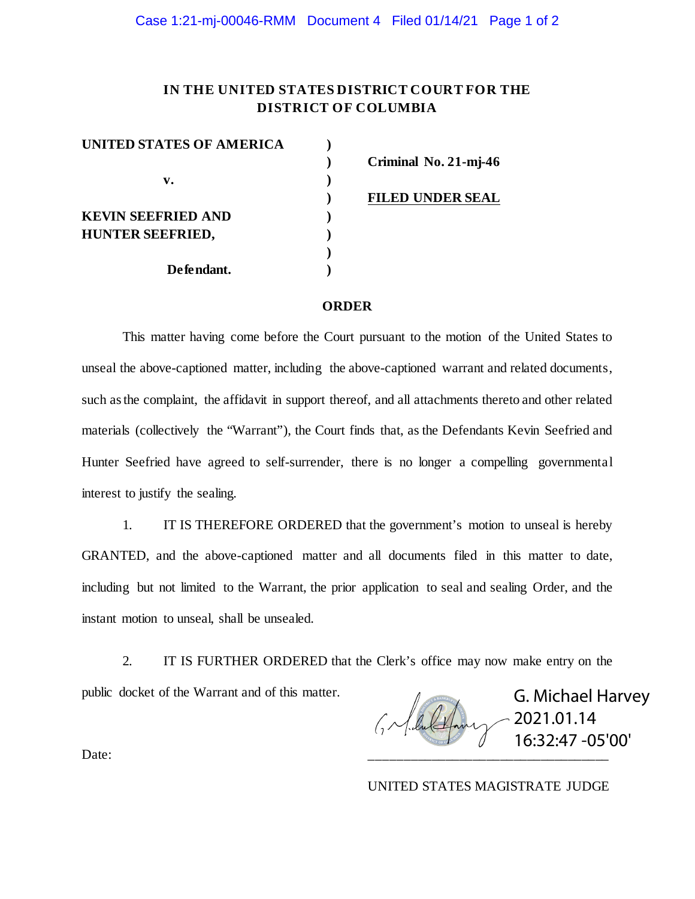## **IN THE UNITED STATES DISTRICT COURT FOR THE DISTRICT OF COLUMBIA**

| UNITED STATES OF AMERICA  |  |
|---------------------------|--|
|                           |  |
| v.                        |  |
|                           |  |
| <b>KEVIN SEEFRIED AND</b> |  |
| HUNTER SEEFRIED,          |  |
|                           |  |
| Defendant.                |  |

**) Criminal No. 21-mj-46**

**) FILED UNDER SEAL**

## **ORDER**

This matter having come before the Court pursuant to the motion of the United States to unseal the above-captioned matter, including the above-captioned warrant and related documents, such as the complaint, the affidavit in support thereof, and all attachments thereto and other related materials (collectively the "Warrant"), the Court finds that, as the Defendants Kevin Seefried and Hunter Seefried have agreed to self-surrender, there is no longer a compelling governmental interest to justify the sealing.

1. IT IS THEREFORE ORDERED that the government's motion to unseal is hereby GRANTED, and the above-captioned matter and all documents filed in this matter to date, including but not limited to the Warrant, the prior application to seal and sealing Order, and the instant motion to unseal, shall be unsealed.

2. IT IS FURTHER ORDERED that the Clerk's office may now make entry on the public docket of the Warrant and of this matter.

G. Michael Harvey GM du Colon 2021.01.14 16:32:47 -05'00'Date: \_\_\_\_\_\_\_\_\_\_\_\_\_\_\_\_\_\_\_\_\_\_\_\_\_\_\_\_\_\_\_\_\_\_\_

UNITED STATES MAGISTRATE JUDGE